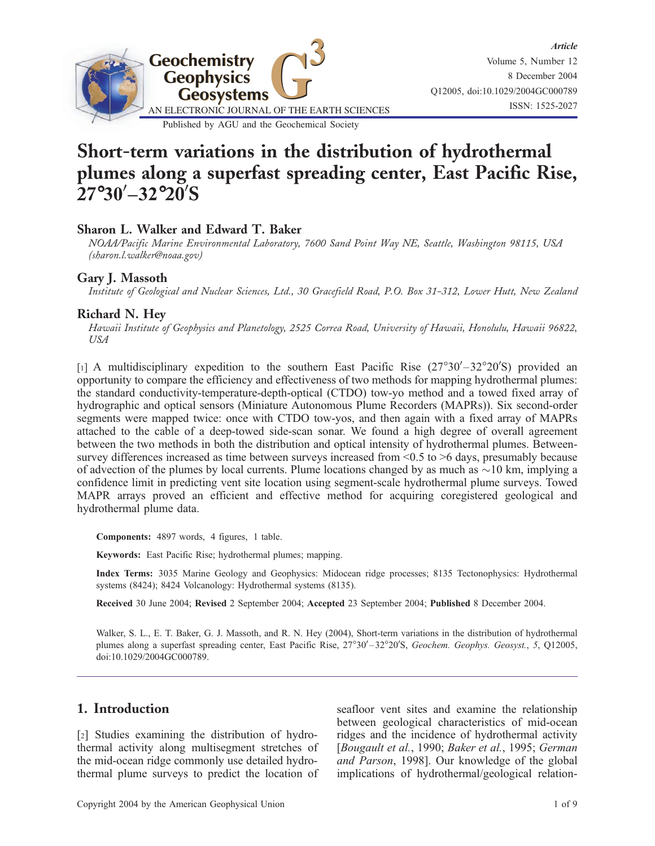

# Short-term variations in the distribution of hydrothermal plumes along a superfast spreading center, East Pacific Rise,  $27°30' - 32°20'$ S

### Sharon L. Walker and Edward T. Baker

NOAA/Pacific Marine Environmental Laboratory, 7600 Sand Point Way NE, Seattle, Washington 98115, USA (sharon.l.walker@noaa.gov)

## Gary J. Massoth

Institute of Geological and Nuclear Sciences, Ltd., 30 Gracefield Road, P.O. Box 31-312, Lower Hutt, New Zealand

### Richard N. Hey

Hawaii Institute of Geophysics and Planetology, 2525 Correa Road, University of Hawaii, Honolulu, Hawaii 96822, USA

[1] A multidisciplinary expedition to the southern East Pacific Rise  $(27^{\circ}30' - 32^{\circ}20'$ S) provided an opportunity to compare the efficiency and effectiveness of two methods for mapping hydrothermal plumes: the standard conductivity-temperature-depth-optical (CTDO) tow-yo method and a towed fixed array of hydrographic and optical sensors (Miniature Autonomous Plume Recorders (MAPRs)). Six second-order segments were mapped twice: once with CTDO tow-yos, and then again with a fixed array of MAPRs attached to the cable of a deep-towed side-scan sonar. We found a high degree of overall agreement between the two methods in both the distribution and optical intensity of hydrothermal plumes. Betweensurvey differences increased as time between surveys increased from <0.5 to >6 days, presumably because of advection of the plumes by local currents. Plume locations changed by as much as  $\sim$ 10 km, implying a confidence limit in predicting vent site location using segment-scale hydrothermal plume surveys. Towed MAPR arrays proved an efficient and effective method for acquiring coregistered geological and hydrothermal plume data.

Components: 4897 words, 4 figures, 1 table.

Keywords: East Pacific Rise; hydrothermal plumes; mapping.

Index Terms: 3035 Marine Geology and Geophysics: Midocean ridge processes; 8135 Tectonophysics: Hydrothermal systems (8424); 8424 Volcanology: Hydrothermal systems (8135).

Received 30 June 2004; Revised 2 September 2004; Accepted 23 September 2004; Published 8 December 2004.

Walker, S. L., E. T. Baker, G. J. Massoth, and R. N. Hey (2004), Short-term variations in the distribution of hydrothermal plumes along a superfast spreading center, East Pacific Rise, 27°30'-32°20'S, Geochem. Geophys. Geosyst., 5, Q12005, doi:10.1029/2004GC000789.

## 1. Introduction

[2] Studies examining the distribution of hydrothermal activity along multisegment stretches of the mid-ocean ridge commonly use detailed hydrothermal plume surveys to predict the location of seafloor vent sites and examine the relationship between geological characteristics of mid-ocean ridges and the incidence of hydrothermal activity [Bougault et al., 1990; Baker et al., 1995; German and Parson, 1998]. Our knowledge of the global implications of hydrothermal/geological relation-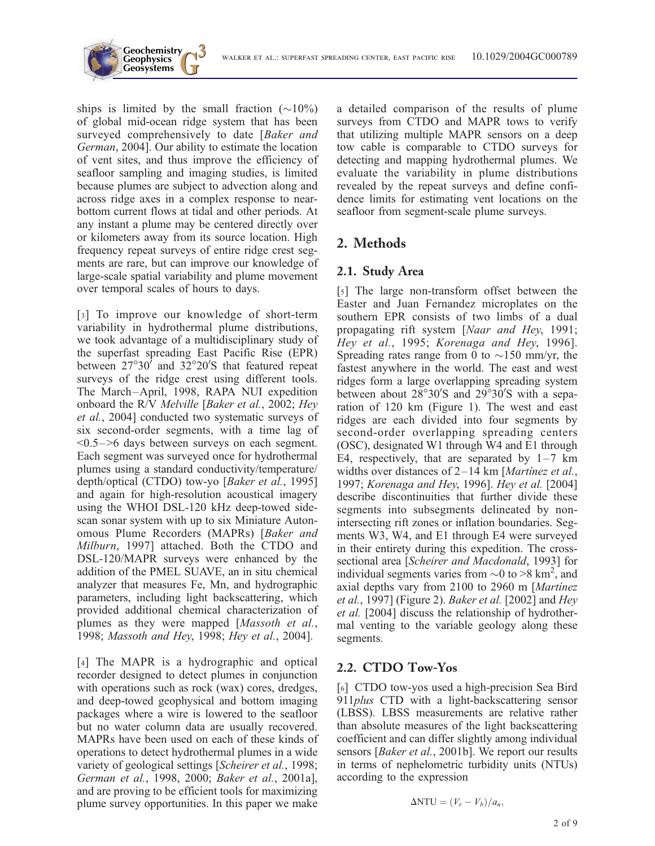

ships is limited by the small fraction  $(\sim 10\%)$ of global mid-ocean ridge system that has been surveyed comprehensively to date [Baker and German, 2004]. Our ability to estimate the location of vent sites, and thus improve the efficiency of seafloor sampling and imaging studies, is limited because plumes are subject to advection along and across ridge axes in a complex response to nearbottom current flows at tidal and other periods. At any instant a plume may be centered directly over or kilometers away from its source location. High frequency repeat surveys of entire ridge crest segments are rare, but can improve our knowledge of large-scale spatial variability and plume movement over temporal scales of hours to days.

**Geochemistry Geophysics**

[3] To improve our knowledge of short-term variability in hydrothermal plume distributions, we took advantage of a multidisciplinary study of the superfast spreading East Pacific Rise (EPR) between  $27^{\circ}30'$  and  $32^{\circ}20'$ S that featured repeat surveys of the ridge crest using different tools. The March–April, 1998, RAPA NUI expedition onboard the R/V Melville [Baker et al., 2002; Hey et al., 2004] conducted two systematic surveys of six second-order segments, with a time lag of <0.5–>6 days between surveys on each segment. Each segment was surveyed once for hydrothermal plumes using a standard conductivity/temperature/ depth/optical (CTDO) tow-yo [Baker et al., 1995] and again for high-resolution acoustical imagery using the WHOI DSL-120 kHz deep-towed sidescan sonar system with up to six Miniature Autonomous Plume Recorders (MAPRs) [Baker and Milburn, 1997] attached. Both the CTDO and DSL-120/MAPR surveys were enhanced by the addition of the PMEL SUAVE, an in situ chemical analyzer that measures Fe, Mn, and hydrographic parameters, including light backscattering, which provided additional chemical characterization of plumes as they were mapped [Massoth et al., 1998; Massoth and Hey, 1998; Hey et al., 2004].

[4] The MAPR is a hydrographic and optical recorder designed to detect plumes in conjunction with operations such as rock (wax) cores, dredges, and deep-towed geophysical and bottom imaging packages where a wire is lowered to the seafloor but no water column data are usually recovered. MAPRs have been used on each of these kinds of operations to detect hydrothermal plumes in a wide variety of geological settings [Scheirer et al., 1998; German et al., 1998, 2000; Baker et al., 2001a], and are proving to be efficient tools for maximizing plume survey opportunities. In this paper we make

a detailed comparison of the results of plume surveys from CTDO and MAPR tows to verify that utilizing multiple MAPR sensors on a deep tow cable is comparable to CTDO surveys for detecting and mapping hydrothermal plumes. We evaluate the variability in plume distributions revealed by the repeat surveys and define confidence limits for estimating vent locations on the seafloor from segment-scale plume surveys.

## 2. Methods

## 2.1. Study Area

[5] The large non-transform offset between the Easter and Juan Fernandez microplates on the southern EPR consists of two limbs of a dual propagating rift system [Naar and Hey, 1991; Hey et al., 1995; Korenaga and Hey, 1996]. Spreading rates range from 0 to  $\sim$ 150 mm/yr, the fastest anywhere in the world. The east and west ridges form a large overlapping spreading system between about  $28^{\circ}30'$ S and  $29^{\circ}30'$ S with a separation of 120 km (Figure 1). The west and east ridges are each divided into four segments by second-order overlapping spreading centers (OSC), designated W1 through W4 and E1 through E4, respectively, that are separated by  $1-7$  km widths over distances of  $2-14$  km [*Martinez et al.*, 1997; Korenaga and Hey, 1996]. Hey et al. [2004] describe discontinuities that further divide these segments into subsegments delineated by nonintersecting rift zones or inflation boundaries. Segments W3, W4, and E1 through E4 were surveyed in their entirety during this expedition. The crosssectional area [Scheirer and Macdonald, 1993] for individual segments varies from  $\sim 0$  to  $\geq 8$  km<sup>2</sup>, and axial depths vary from  $2100$  to  $2960$  m [Martinez et al., 1997] (Figure 2). Baker et al. [2002] and Hey et al. [2004] discuss the relationship of hydrothermal venting to the variable geology along these segments.

## 2.2. CTDO Tow-Yos

[6] CTDO tow-yos used a high-precision Sea Bird 911plus CTD with a light-backscattering sensor (LBSS). LBSS measurements are relative rather than absolute measures of the light backscattering coefficient and can differ slightly among individual sensors [Baker et al., 2001b]. We report our results in terms of nephelometric turbidity units (NTUs) according to the expression

$$
\Delta \text{NTU} = (V_r - V_b)/a_n,
$$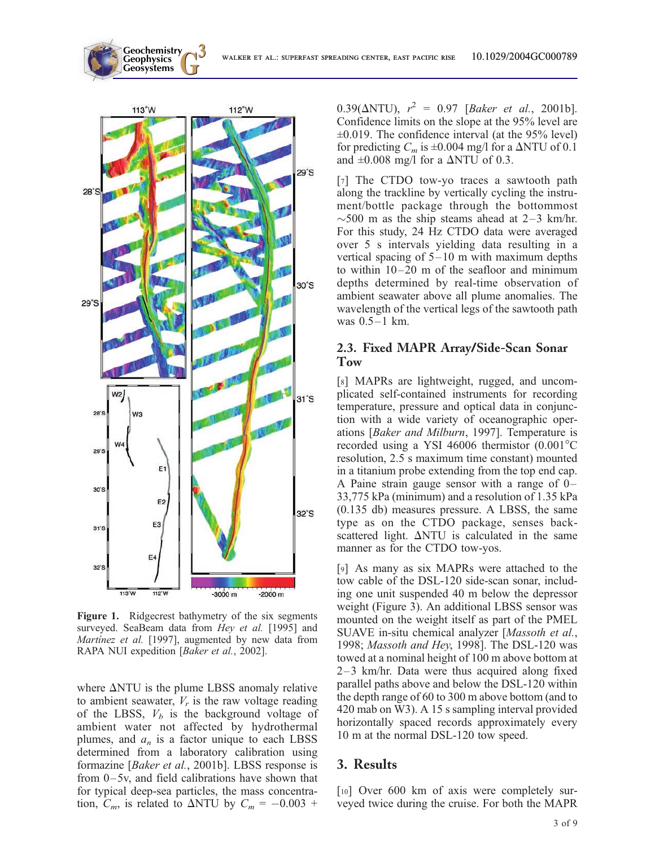

**Geochemistry Geophysics**

Figure 1. Ridgecrest bathymetry of the six segments surveyed. SeaBeam data from Hey et al. [1995] and Martinez et al. [1997], augmented by new data from RAPA NUI expedition [Baker et al., 2002].

where  $\Delta$ NTU is the plume LBSS anomaly relative to ambient seawater,  $V_r$  is the raw voltage reading of the LBSS,  $V_b$  is the background voltage of ambient water not affected by hydrothermal plumes, and  $a_n$  is a factor unique to each LBSS determined from a laboratory calibration using formazine [Baker et al., 2001b]. LBSS response is from 0–5v, and field calibrations have shown that for typical deep-sea particles, the mass concentration,  $C_m$ , is related to  $\triangle NTU$  by  $C_m = -0.003 +$ 

 $0.39(\Delta NTU)$ ,  $r^2 = 0.97$  [Baker et al., 2001b]. Confidence limits on the slope at the 95% level are  $\pm 0.019$ . The confidence interval (at the 95% level) for predicting  $C_m$  is  $\pm 0.004$  mg/l for a  $\Delta NTU$  of 0.1 and  $\pm 0.008$  mg/l for a  $\Delta NTU$  of 0.3.

[7] The CTDO tow-yo traces a sawtooth path along the trackline by vertically cycling the instrument/bottle package through the bottommost  $\sim$  500 m as the ship steams ahead at 2–3 km/hr. For this study, 24 Hz CTDO data were averaged over 5 s intervals yielding data resulting in a vertical spacing of 5–10 m with maximum depths to within 10–20 m of the seafloor and minimum depths determined by real-time observation of ambient seawater above all plume anomalies. The wavelength of the vertical legs of the sawtooth path was 0.5–1 km.

#### 2.3. Fixed MAPR Array/Side-Scan Sonar Tow

[8] MAPRs are lightweight, rugged, and uncomplicated self-contained instruments for recording temperature, pressure and optical data in conjunction with a wide variety of oceanographic operations [Baker and Milburn, 1997]. Temperature is recorded using a YSI 46006 thermistor  $(0.001^{\circ}$ C resolution, 2.5 s maximum time constant) mounted in a titanium probe extending from the top end cap. A Paine strain gauge sensor with a range of 0– 33,775 kPa (minimum) and a resolution of 1.35 kPa (0.135 db) measures pressure. A LBSS, the same type as on the CTDO package, senses backscattered light.  $\Delta N T U$  is calculated in the same manner as for the CTDO tow-yos.

[9] As many as six MAPRs were attached to the tow cable of the DSL-120 side-scan sonar, including one unit suspended 40 m below the depressor weight (Figure 3). An additional LBSS sensor was mounted on the weight itself as part of the PMEL SUAVE in-situ chemical analyzer [Massoth et al., 1998; Massoth and Hey, 1998]. The DSL-120 was towed at a nominal height of 100 m above bottom at 2–3 km/hr. Data were thus acquired along fixed parallel paths above and below the DSL-120 within the depth range of 60 to 300 m above bottom (and to 420 mab on W3). A 15 s sampling interval provided horizontally spaced records approximately every 10 m at the normal DSL-120 tow speed.

#### 3. Results

[10] Over 600 km of axis were completely surveyed twice during the cruise. For both the MAPR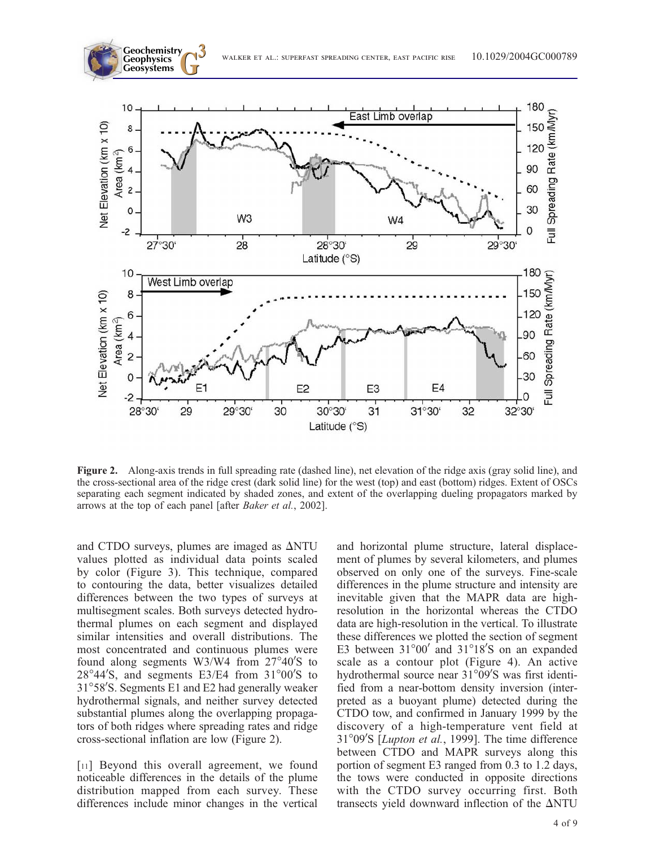



Figure 2. Along-axis trends in full spreading rate (dashed line), net elevation of the ridge axis (gray solid line), and the cross-sectional area of the ridge crest (dark solid line) for the west (top) and east (bottom) ridges. Extent of OSCs separating each segment indicated by shaded zones, and extent of the overlapping dueling propagators marked by arrows at the top of each panel [after Baker et al., 2002].

and CTDO surveys, plumes are imaged as  $\Delta N T U$ values plotted as individual data points scaled by color (Figure 3). This technique, compared to contouring the data, better visualizes detailed differences between the two types of surveys at multisegment scales. Both surveys detected hydrothermal plumes on each segment and displayed similar intensities and overall distributions. The most concentrated and continuous plumes were found along segments W3/W4 from  $27^{\circ}40'$ S to  $28^{\circ}44'$ S, and segments E3/E4 from  $31^{\circ}00'$ S to 31°58'S. Segments E1 and E2 had generally weaker hydrothermal signals, and neither survey detected substantial plumes along the overlapping propagators of both ridges where spreading rates and ridge cross-sectional inflation are low (Figure 2).

[11] Beyond this overall agreement, we found noticeable differences in the details of the plume distribution mapped from each survey. These differences include minor changes in the vertical

and horizontal plume structure, lateral displacement of plumes by several kilometers, and plumes observed on only one of the surveys. Fine-scale differences in the plume structure and intensity are inevitable given that the MAPR data are highresolution in the horizontal whereas the CTDO data are high-resolution in the vertical. To illustrate these differences we plotted the section of segment E3 between  $31^{\circ}00'$  and  $31^{\circ}18'$ S on an expanded scale as a contour plot (Figure 4). An active hydrothermal source near  $31^{\circ}09'$ S was first identified from a near-bottom density inversion (interpreted as a buoyant plume) detected during the CTDO tow, and confirmed in January 1999 by the discovery of a high-temperature vent field at 31°09′S [*Lupton et al.*, 1999]. The time difference between CTDO and MAPR surveys along this portion of segment E3 ranged from 0.3 to 1.2 days, the tows were conducted in opposite directions with the CTDO survey occurring first. Both transects yield downward inflection of the  $\Delta N T U$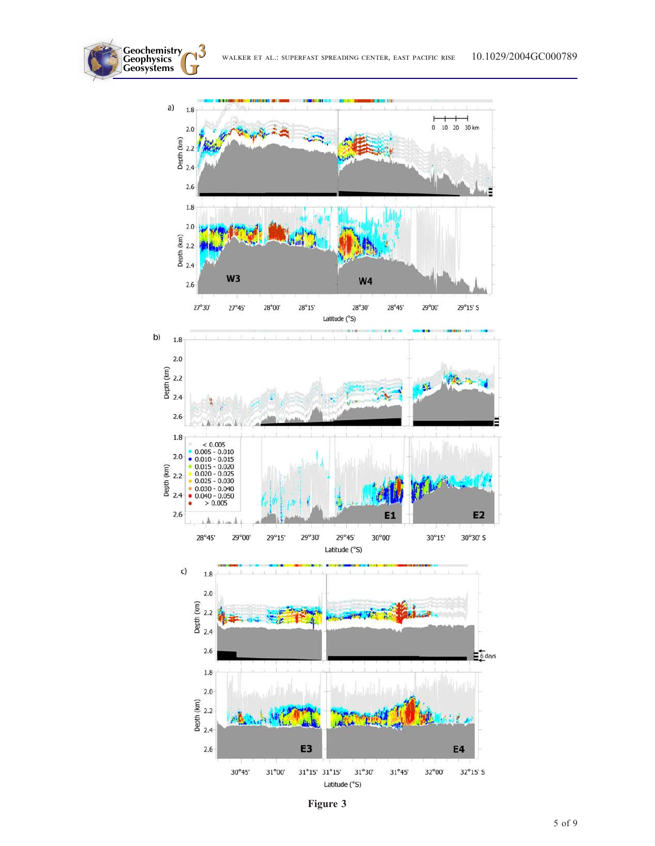WALKER ET AL.: SUPERFAST SPREADING CENTER, EAST PACIFIC RISE 10.1029/2004GC000789

**Geochemistry Geophysics**



Figure 3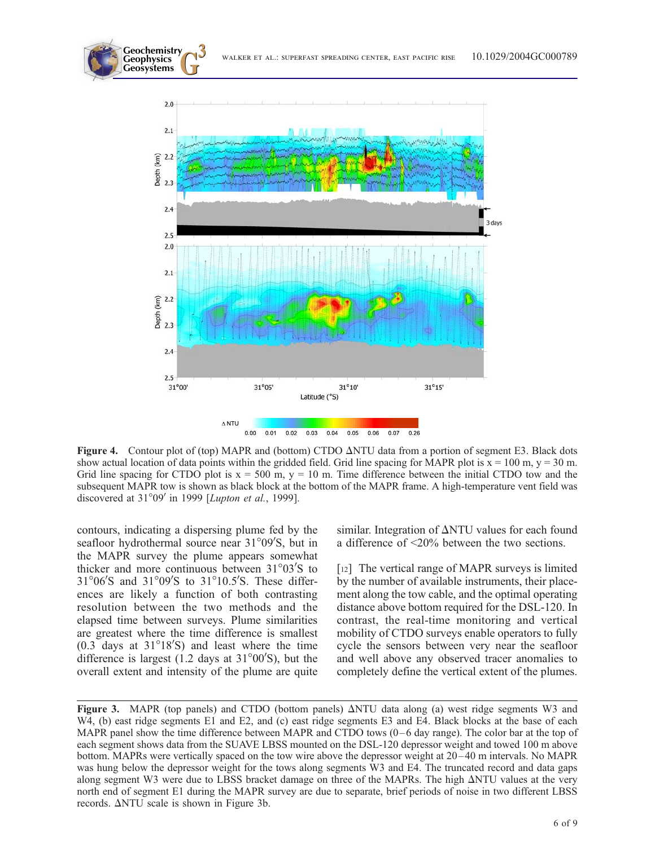

Figure 4. Contour plot of (top) MAPR and (bottom) CTDO  $\triangle NTU$  data from a portion of segment E3. Black dots show actual location of data points within the gridded field. Grid line spacing for MAPR plot is  $x = 100$  m,  $y = 30$  m. Grid line spacing for CTDO plot is  $x = 500$  m,  $y = 10$  m. Time difference between the initial CTDO tow and the subsequent MAPR tow is shown as black block at the bottom of the MAPR frame. A high-temperature vent field was discovered at  $31^{\circ}09'$  in 1999 [Lupton et al., 1999].

contours, indicating a dispersing plume fed by the seafloor hydrothermal source near 31°09'S, but in the MAPR survey the plume appears somewhat thicker and more continuous between  $31^{\circ}03'$ S to  $31^{\circ}06'$ S and  $31^{\circ}09'$ S to  $31^{\circ}10.5'$ S. These differences are likely a function of both contrasting resolution between the two methods and the elapsed time between surveys. Plume similarities are greatest where the time difference is smallest  $(0.3)$  days at  $31^{\circ}18'$ S) and least where the time difference is largest  $(1.2$  days at  $31^{\circ}00'$ S), but the overall extent and intensity of the plume are quite

**Geochemistry Geophysics**

> similar. Integration of  $\Delta NTU$  values for each found a difference of <20% between the two sections.

> [12] The vertical range of MAPR surveys is limited by the number of available instruments, their placement along the tow cable, and the optimal operating distance above bottom required for the DSL-120. In contrast, the real-time monitoring and vertical mobility of CTDO surveys enable operators to fully cycle the sensors between very near the seafloor and well above any observed tracer anomalies to completely define the vertical extent of the plumes.

Figure 3. MAPR (top panels) and CTDO (bottom panels)  $\Delta NTU$  data along (a) west ridge segments W3 and W4, (b) east ridge segments E1 and E2, and (c) east ridge segments E3 and E4. Black blocks at the base of each MAPR panel show the time difference between MAPR and CTDO tows  $(0-6 \text{ day range})$ . The color bar at the top of each segment shows data from the SUAVE LBSS mounted on the DSL-120 depressor weight and towed 100 m above bottom. MAPRs were vertically spaced on the tow wire above the depressor weight at 20 –40 m intervals. No MAPR was hung below the depressor weight for the tows along segments W3 and E4. The truncated record and data gaps along segment W3 were due to LBSS bracket damage on three of the MAPRs. The high  $\Delta NTU$  values at the very north end of segment E1 during the MAPR survey are due to separate, brief periods of noise in two different LBSS records.  $\Delta$ NTU scale is shown in Figure 3b.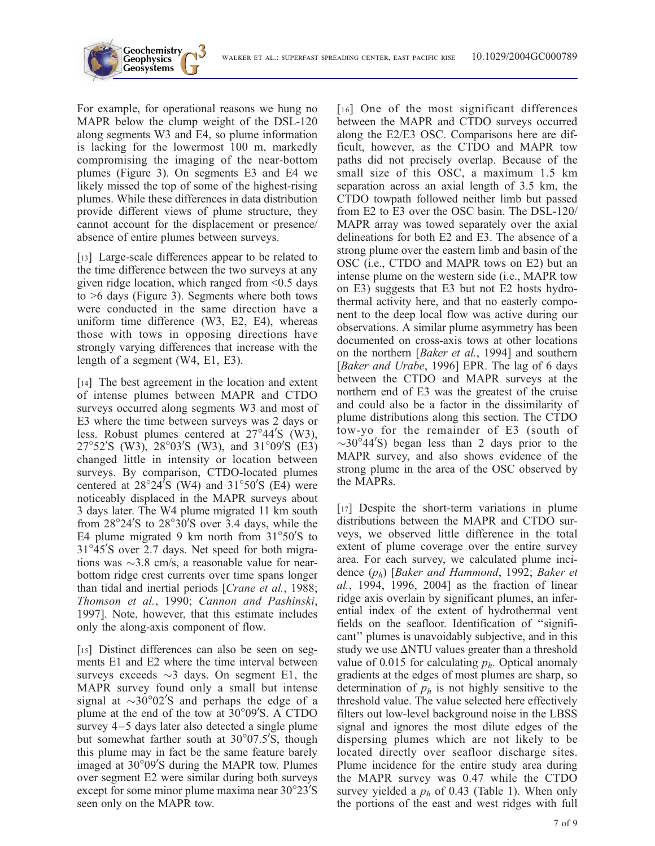For example, for operational reasons we hung no MAPR below the clump weight of the DSL-120 along segments W3 and E4, so plume information is lacking for the lowermost 100 m, markedly compromising the imaging of the near-bottom plumes (Figure 3). On segments E3 and E4 we likely missed the top of some of the highest-rising plumes. While these differences in data distribution provide different views of plume structure, they cannot account for the displacement or presence/ absence of entire plumes between surveys.

**Geochemistry** Geophysics<br>Geosystems

[13] Large-scale differences appear to be related to the time difference between the two surveys at any given ridge location, which ranged from  $\leq 0.5$  days to >6 days (Figure 3). Segments where both tows were conducted in the same direction have a uniform time difference (W3, E2, E4), whereas those with tows in opposing directions have strongly varying differences that increase with the length of a segment (W4, E1, E3).

[14] The best agreement in the location and extent of intense plumes between MAPR and CTDO surveys occurred along segments W3 and most of E3 where the time between surveys was 2 days or less. Robust plumes centered at  $27^{\circ}44'$ S (W3),  $27^{\circ}52'$ S (W3),  $28^{\circ}03'$ S (W3), and  $31^{\circ}09'$ S (E3) changed little in intensity or location between surveys. By comparison, CTDO-located plumes centered at  $28^{\circ}24^{\prime}S$  (W4) and  $31^{\circ}50^{\prime}S$  (E4) were noticeably displaced in the MAPR surveys about 3 days later. The W4 plume migrated 11 km south from  $28^{\circ}24'$ S to  $28^{\circ}30'$ S over 3.4 days, while the E4 plume migrated 9 km north from  $31^{\circ}50'$ S to  $31^{\circ}45'$ S over 2.7 days. Net speed for both migrations was  $\sim$ 3.8 cm/s, a reasonable value for nearbottom ridge crest currents over time spans longer than tidal and inertial periods [Crane et al., 1988; Thomson et al., 1990; Cannon and Pashinski, 1997]. Note, however, that this estimate includes only the along-axis component of flow.

[15] Distinct differences can also be seen on segments E1 and E2 where the time interval between surveys exceeds  $\sim$ 3 days. On segment E1, the MAPR survey found only a small but intense signal at  $\sim$ 30°02'S and perhaps the edge of a plume at the end of the tow at  $30^{\circ}09'$ S. A CTDO survey 4–5 days later also detected a single plume but somewhat farther south at 30°07.5<sup>'</sup>S, though this plume may in fact be the same feature barely imaged at 30°09'S during the MAPR tow. Plumes over segment E2 were similar during both surveys except for some minor plume maxima near  $30^{\circ}23'$ S seen only on the MAPR tow.

[16] One of the most significant differences between the MAPR and CTDO surveys occurred along the E2/E3 OSC. Comparisons here are difficult, however, as the CTDO and MAPR tow paths did not precisely overlap. Because of the small size of this OSC, a maximum 1.5 km separation across an axial length of 3.5 km, the CTDO towpath followed neither limb but passed from E2 to E3 over the OSC basin. The DSL-120/ MAPR array was towed separately over the axial delineations for both E2 and E3. The absence of a strong plume over the eastern limb and basin of the OSC (i.e., CTDO and MAPR tows on E2) but an intense plume on the western side (i.e., MAPR tow on E3) suggests that E3 but not E2 hosts hydrothermal activity here, and that no easterly component to the deep local flow was active during our observations. A similar plume asymmetry has been documented on cross-axis tows at other locations on the northern [Baker et al., 1994] and southern [Baker and Urabe, 1996] EPR. The lag of 6 days between the CTDO and MAPR surveys at the northern end of E3 was the greatest of the cruise and could also be a factor in the dissimilarity of plume distributions along this section. The CTDO tow-yo for the remainder of E3 (south of  $\sim$ 30 $\degree$ 44'S) began less than 2 days prior to the MAPR survey, and also shows evidence of the strong plume in the area of the OSC observed by the MAPRs.

[17] Despite the short-term variations in plume distributions between the MAPR and CTDO surveys, we observed little difference in the total extent of plume coverage over the entire survey area. For each survey, we calculated plume incidence  $(p_h)$  [Baker and Hammond, 1992; Baker et al., 1994, 1996, 2004] as the fraction of linear ridge axis overlain by significant plumes, an inferential index of the extent of hydrothermal vent fields on the seafloor. Identification of ''significant'' plumes is unavoidably subjective, and in this study we use  $\Delta N T U$  values greater than a threshold value of 0.015 for calculating  $p<sub>h</sub>$ . Optical anomaly gradients at the edges of most plumes are sharp, so determination of  $p_h$  is not highly sensitive to the threshold value. The value selected here effectively filters out low-level background noise in the LBSS signal and ignores the most dilute edges of the dispersing plumes which are not likely to be located directly over seafloor discharge sites. Plume incidence for the entire study area during the MAPR survey was 0.47 while the CTDO survey yielded a  $p_h$  of 0.43 (Table 1). When only the portions of the east and west ridges with full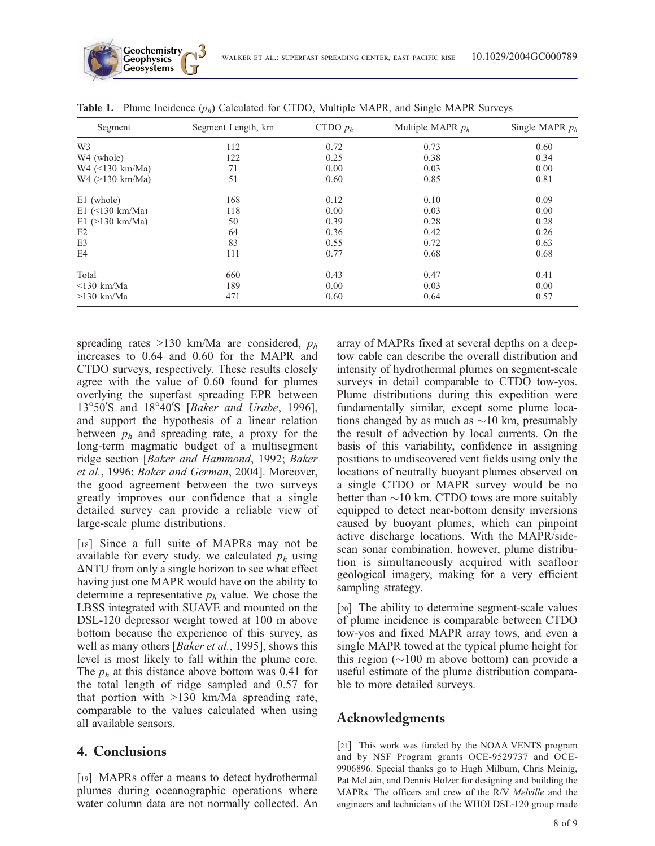| Segment                | Segment Length, km | CTDO $p_h$ | Multiple MAPR $p_h$ | Single MAPR $p_h$ |
|------------------------|--------------------|------------|---------------------|-------------------|
| W <sub>3</sub>         | 112                | 0.72       | 0.73                | 0.60              |
| W <sub>4</sub> (whole) | 122                | 0.25       | 0.38                | 0.34              |
| $W4$ (<130 km/Ma)      | 71                 | 0.00       | 0.03                | 0.00              |
| $W4$ (>130 km/Ma)      | 51                 | 0.60       | 0.85                | 0.81              |
| E1 (whole)             | 168                | 0.12       | 0.10                | 0.09              |
| $E1$ (<130 km/Ma)      | 118                | 0.00       | 0.03                | 0.00              |
| $E1$ (>130 km/Ma)      | 50                 | 0.39       | 0.28                | 0.28              |
| E <sub>2</sub>         | 64                 | 0.36       | 0.42                | 0.26              |
| E3                     | 83                 | 0.55       | 0.72                | 0.63              |
| E4                     | 111                | 0.77       | 0.68                | 0.68              |
| Total                  | 660                | 0.43       | 0.47                | 0.41              |
| $\leq$ 130 km/Ma       | 189                | 0.00       | 0.03                | 0.00              |
| $>130$ km/Ma           | 471                | 0.60       | 0.64                | 0.57              |

**Table 1.** Plume Incidence  $(p_h)$  Calculated for CTDO, Multiple MAPR, and Single MAPR Surveys

spreading rates >130 km/Ma are considered,  $p_h$ increases to 0.64 and 0.60 for the MAPR and CTDO surveys, respectively. These results closely agree with the value of 0.60 found for plumes overlying the superfast spreading EPR between 13°50'S and 18°40'S [Baker and Urabe, 1996], and support the hypothesis of a linear relation between  $p_h$  and spreading rate, a proxy for the long-term magmatic budget of a multisegment ridge section [Baker and Hammond, 1992; Baker et al., 1996; Baker and German, 2004]. Moreover, the good agreement between the two surveys greatly improves our confidence that a single detailed survey can provide a reliable view of large-scale plume distributions.

**Geochemistry Geophysics**

[18] Since a full suite of MAPRs may not be available for every study, we calculated  $p<sub>h</sub>$  using  $\Delta$ NTU from only a single horizon to see what effect having just one MAPR would have on the ability to determine a representative  $p<sub>h</sub>$  value. We chose the LBSS integrated with SUAVE and mounted on the DSL-120 depressor weight towed at 100 m above bottom because the experience of this survey, as well as many others [Baker et al., 1995], shows this level is most likely to fall within the plume core. The  $p_h$  at this distance above bottom was 0.41 for the total length of ridge sampled and 0.57 for that portion with >130 km/Ma spreading rate, comparable to the values calculated when using all available sensors.

#### 4. Conclusions

[19] MAPRs offer a means to detect hydrothermal plumes during oceanographic operations where water column data are not normally collected. An array of MAPRs fixed at several depths on a deeptow cable can describe the overall distribution and intensity of hydrothermal plumes on segment-scale surveys in detail comparable to CTDO tow-yos. Plume distributions during this expedition were fundamentally similar, except some plume locations changed by as much as  $\sim$ 10 km, presumably the result of advection by local currents. On the basis of this variability, confidence in assigning positions to undiscovered vent fields using only the locations of neutrally buoyant plumes observed on a single CTDO or MAPR survey would be no better than  $\sim$ 10 km. CTDO tows are more suitably equipped to detect near-bottom density inversions caused by buoyant plumes, which can pinpoint active discharge locations. With the MAPR/sidescan sonar combination, however, plume distribution is simultaneously acquired with seafloor geological imagery, making for a very efficient sampling strategy.

[20] The ability to determine segment-scale values of plume incidence is comparable between CTDO tow-yos and fixed MAPR array tows, and even a single MAPR towed at the typical plume height for this region  $(\sim 100 \text{ m}$  above bottom) can provide a useful estimate of the plume distribution comparable to more detailed surveys.

### Acknowledgments

[21] This work was funded by the NOAA VENTS program and by NSF Program grants OCE-9529737 and OCE-9906896. Special thanks go to Hugh Milburn, Chris Meinig, Pat McLain, and Dennis Holzer for designing and building the MAPRs. The officers and crew of the R/V Melville and the engineers and technicians of the WHOI DSL-120 group made